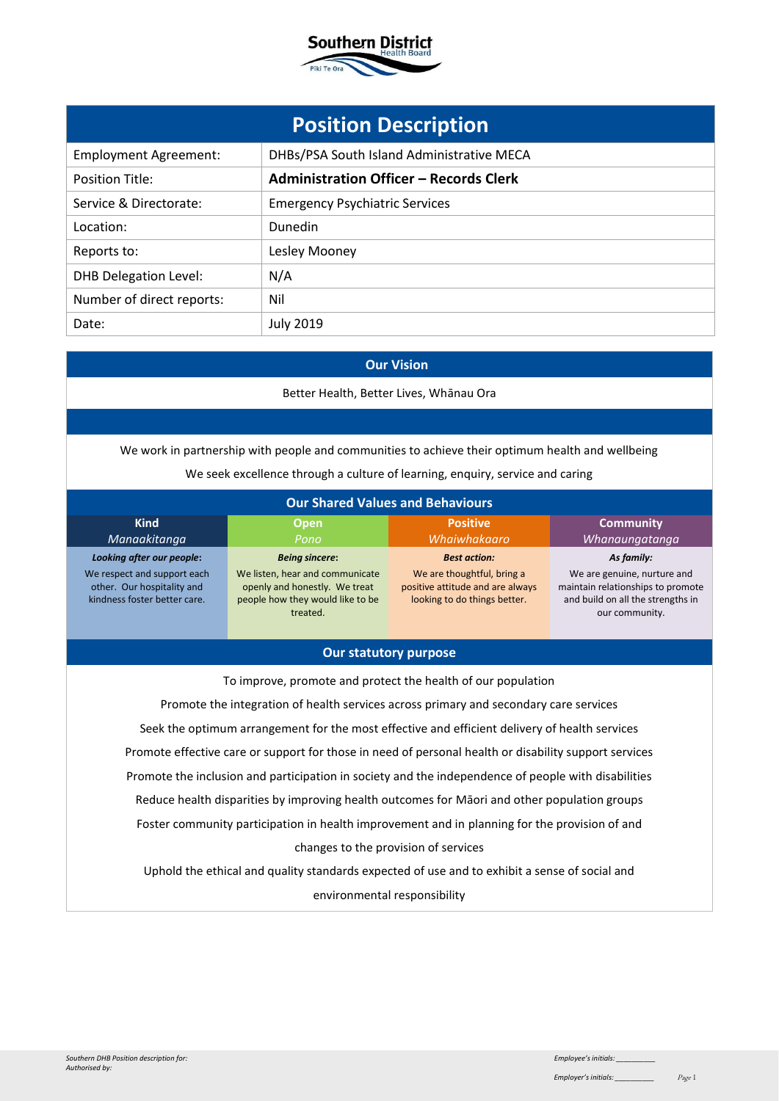

|                              | <b>Position Description</b>                   |
|------------------------------|-----------------------------------------------|
| <b>Employment Agreement:</b> | DHBs/PSA South Island Administrative MECA     |
| <b>Position Title:</b>       | <b>Administration Officer - Records Clerk</b> |
| Service & Directorate:       | <b>Emergency Psychiatric Services</b>         |
| Location:                    | Dunedin                                       |
| Reports to:                  | Lesley Mooney                                 |
| <b>DHB Delegation Level:</b> | N/A                                           |
| Number of direct reports:    | Nil                                           |
| Date:                        | <b>July 2019</b>                              |

# **Our Vision**

Better Health, Better Lives, Whānau Ora

We work in partnership with people and communities to achieve their optimum health and wellbeing We seek excellence through a culture of learning, enquiry, service and caring

| <b>Our Shared Values and Behaviours</b>                                                   |                                                                                                                  |                                                                                                |                                                                                                                         |
|-------------------------------------------------------------------------------------------|------------------------------------------------------------------------------------------------------------------|------------------------------------------------------------------------------------------------|-------------------------------------------------------------------------------------------------------------------------|
| <b>Kind</b><br>Manaakitanga                                                               | Open,<br>Pono                                                                                                    | <b>Positive</b><br>Whaiwhakaaro                                                                | <b>Community</b><br>Whanaungatanga                                                                                      |
| Looking after our people:                                                                 | <b>Being sincere:</b>                                                                                            | <b>Best action:</b>                                                                            | As family:                                                                                                              |
| We respect and support each<br>other. Our hospitality and<br>kindness foster better care. | We listen, hear and communicate<br>openly and honestly. We treat<br>people how they would like to be<br>treated. | We are thoughtful, bring a<br>positive attitude and are always<br>looking to do things better. | We are genuine, nurture and<br>maintain relationships to promote<br>and build on all the strengths in<br>our community. |

### **Our statutory purpose**

To improve, promote and protect the health of our population Promote the integration of health services across primary and secondary care services Seek the optimum arrangement for the most effective and efficient delivery of health services Promote effective care or support for those in need of personal health or disability support services Promote the inclusion and participation in society and the independence of people with disabilities Reduce health disparities by improving health outcomes for Māori and other population groups Foster community participation in health improvement and in planning for the provision of and changes to the provision of services Uphold the ethical and quality standards expected of use and to exhibit a sense of social and

environmental responsibility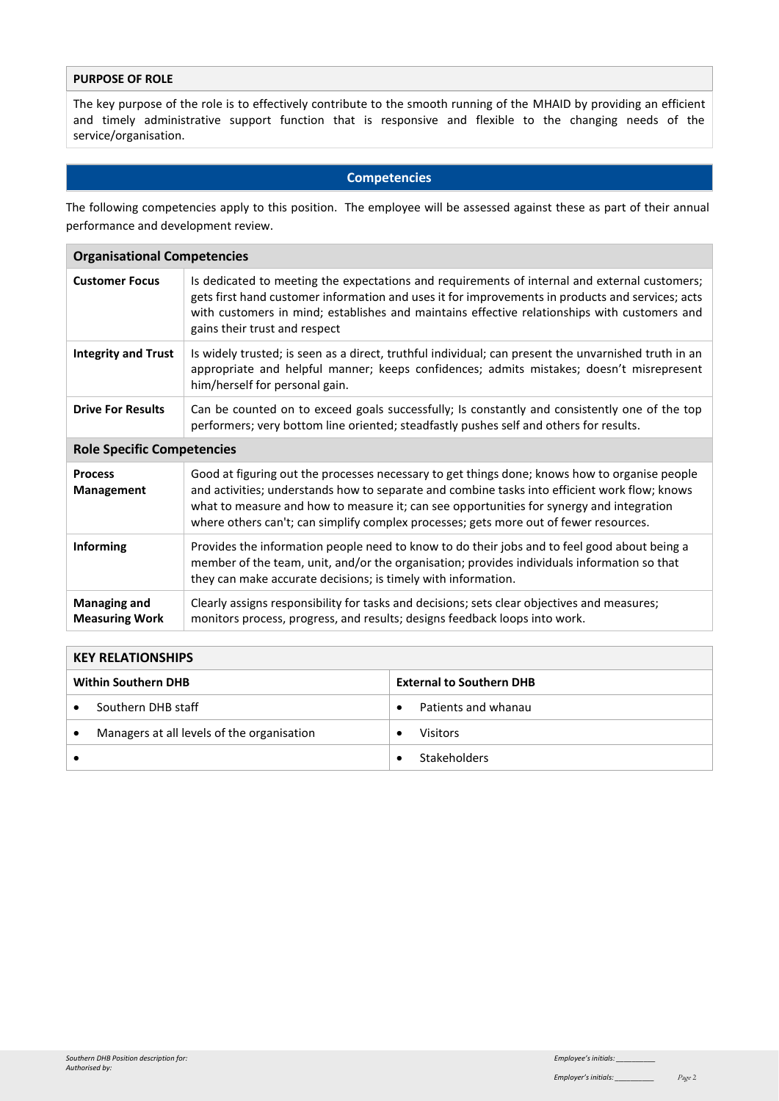## **PURPOSE OF ROLE**

The key purpose of the role is to effectively contribute to the smooth running of the MHAID by providing an efficient and timely administrative support function that is responsive and flexible to the changing needs of the service/organisation.

#### **Competencies**

The following competencies apply to this position. The employee will be assessed against these as part of their annual performance and development review.

| <b>Organisational Competencies</b>           |                                                                            |                                                                                                                                                                                                                                                                                                                                                                                     |  |  |
|----------------------------------------------|----------------------------------------------------------------------------|-------------------------------------------------------------------------------------------------------------------------------------------------------------------------------------------------------------------------------------------------------------------------------------------------------------------------------------------------------------------------------------|--|--|
| <b>Customer Focus</b>                        | gains their trust and respect                                              | Is dedicated to meeting the expectations and requirements of internal and external customers;<br>gets first hand customer information and uses it for improvements in products and services; acts<br>with customers in mind; establishes and maintains effective relationships with customers and                                                                                   |  |  |
| <b>Integrity and Trust</b>                   | him/herself for personal gain.                                             | Is widely trusted; is seen as a direct, truthful individual; can present the unvarnished truth in an<br>appropriate and helpful manner; keeps confidences; admits mistakes; doesn't misrepresent                                                                                                                                                                                    |  |  |
| <b>Drive For Results</b>                     |                                                                            | Can be counted on to exceed goals successfully; Is constantly and consistently one of the top<br>performers; very bottom line oriented; steadfastly pushes self and others for results.                                                                                                                                                                                             |  |  |
| <b>Role Specific Competencies</b>            |                                                                            |                                                                                                                                                                                                                                                                                                                                                                                     |  |  |
| <b>Process</b><br>Management                 |                                                                            | Good at figuring out the processes necessary to get things done; knows how to organise people<br>and activities; understands how to separate and combine tasks into efficient work flow; knows<br>what to measure and how to measure it; can see opportunities for synergy and integration<br>where others can't; can simplify complex processes; gets more out of fewer resources. |  |  |
| <b>Informing</b>                             | they can make accurate decisions; is timely with information.              | Provides the information people need to know to do their jobs and to feel good about being a<br>member of the team, unit, and/or the organisation; provides individuals information so that                                                                                                                                                                                         |  |  |
| <b>Managing and</b><br><b>Measuring Work</b> | monitors process, progress, and results; designs feedback loops into work. | Clearly assigns responsibility for tasks and decisions; sets clear objectives and measures;                                                                                                                                                                                                                                                                                         |  |  |
|                                              |                                                                            |                                                                                                                                                                                                                                                                                                                                                                                     |  |  |
| <b>KEY RELATIONSHIPS</b>                     |                                                                            |                                                                                                                                                                                                                                                                                                                                                                                     |  |  |
| <b>Within Southern DHB</b>                   |                                                                            | <b>External to Southern DHB</b>                                                                                                                                                                                                                                                                                                                                                     |  |  |
| Southern DHB staff                           |                                                                            | Patients and whanau<br>$\bullet$                                                                                                                                                                                                                                                                                                                                                    |  |  |

• Managers at all levels of the organisation  $\vert \cdot \vert$  Visitors

• **• • Stakeholders**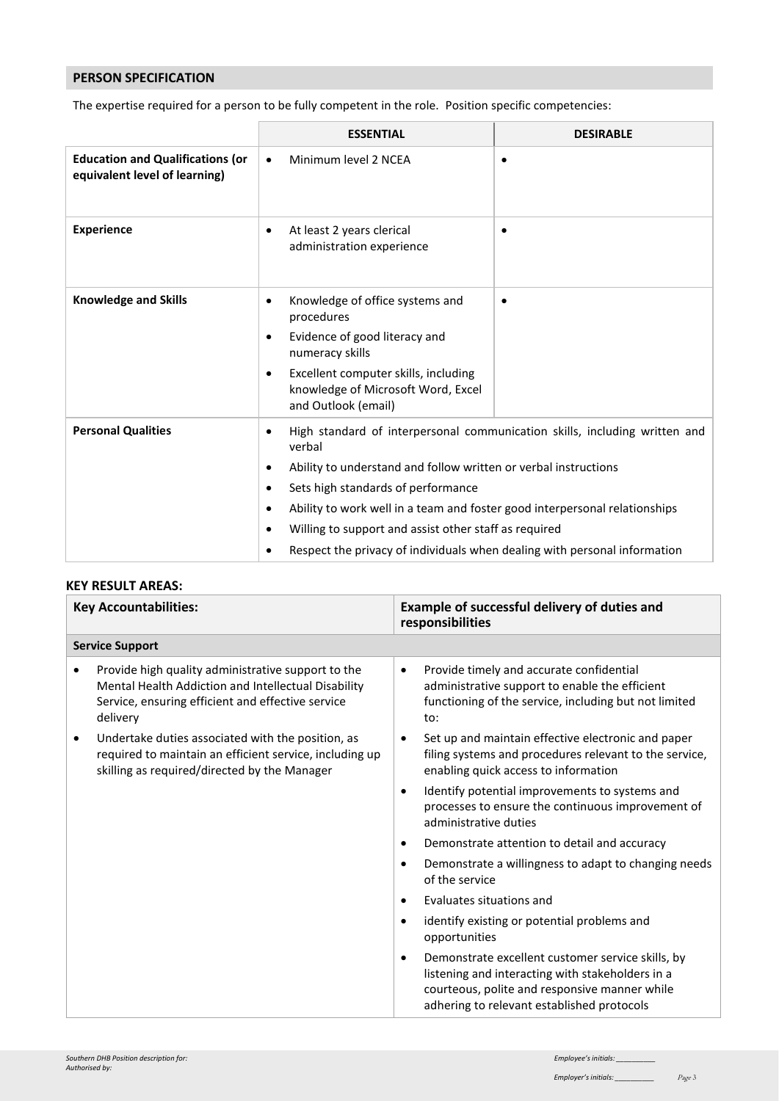## **PERSON SPECIFICATION**

The expertise required for a person to be fully competent in the role. Position specific competencies:

|                                                                          | <b>ESSENTIAL</b>                                                                                                                                                                                                                                                                                                                                                                          | <b>DESIRABLE</b>                                                           |
|--------------------------------------------------------------------------|-------------------------------------------------------------------------------------------------------------------------------------------------------------------------------------------------------------------------------------------------------------------------------------------------------------------------------------------------------------------------------------------|----------------------------------------------------------------------------|
| <b>Education and Qualifications (or</b><br>equivalent level of learning) | Minimum level 2 NCEA<br>$\bullet$                                                                                                                                                                                                                                                                                                                                                         | $\bullet$                                                                  |
| <b>Experience</b>                                                        | At least 2 years clerical<br>$\bullet$<br>administration experience                                                                                                                                                                                                                                                                                                                       | $\bullet$                                                                  |
| <b>Knowledge and Skills</b>                                              | Knowledge of office systems and<br>$\bullet$<br>procedures<br>Evidence of good literacy and<br>$\bullet$<br>numeracy skills<br>Excellent computer skills, including<br>$\bullet$<br>knowledge of Microsoft Word, Excel<br>and Outlook (email)                                                                                                                                             | $\bullet$                                                                  |
| <b>Personal Qualities</b>                                                | $\bullet$<br>verbal<br>Ability to understand and follow written or verbal instructions<br>$\bullet$<br>Sets high standards of performance<br>$\bullet$<br>Ability to work well in a team and foster good interpersonal relationships<br>٠<br>Willing to support and assist other staff as required<br>٠<br>Respect the privacy of individuals when dealing with personal information<br>٠ | High standard of interpersonal communication skills, including written and |

### **KEY RESULT AREAS:**

|           | <b>Key Accountabilities:</b>                                                                                                                                               |           | Example of successful delivery of duties and<br>responsibilities                                                                                                                                     |
|-----------|----------------------------------------------------------------------------------------------------------------------------------------------------------------------------|-----------|------------------------------------------------------------------------------------------------------------------------------------------------------------------------------------------------------|
|           | <b>Service Support</b>                                                                                                                                                     |           |                                                                                                                                                                                                      |
|           | Provide high quality administrative support to the<br>Mental Health Addiction and Intellectual Disability<br>Service, ensuring efficient and effective service<br>delivery | $\bullet$ | Provide timely and accurate confidential<br>administrative support to enable the efficient<br>functioning of the service, including but not limited<br>to:                                           |
| $\bullet$ | Undertake duties associated with the position, as<br>required to maintain an efficient service, including up<br>skilling as required/directed by the Manager               | $\bullet$ | Set up and maintain effective electronic and paper<br>filing systems and procedures relevant to the service,<br>enabling quick access to information                                                 |
|           |                                                                                                                                                                            | $\bullet$ | Identify potential improvements to systems and<br>processes to ensure the continuous improvement of<br>administrative duties                                                                         |
|           |                                                                                                                                                                            | $\bullet$ | Demonstrate attention to detail and accuracy                                                                                                                                                         |
|           |                                                                                                                                                                            | $\bullet$ | Demonstrate a willingness to adapt to changing needs<br>of the service                                                                                                                               |
|           |                                                                                                                                                                            | $\bullet$ | Evaluates situations and                                                                                                                                                                             |
|           |                                                                                                                                                                            | $\bullet$ | identify existing or potential problems and<br>opportunities                                                                                                                                         |
|           |                                                                                                                                                                            | $\bullet$ | Demonstrate excellent customer service skills, by<br>listening and interacting with stakeholders in a<br>courteous, polite and responsive manner while<br>adhering to relevant established protocols |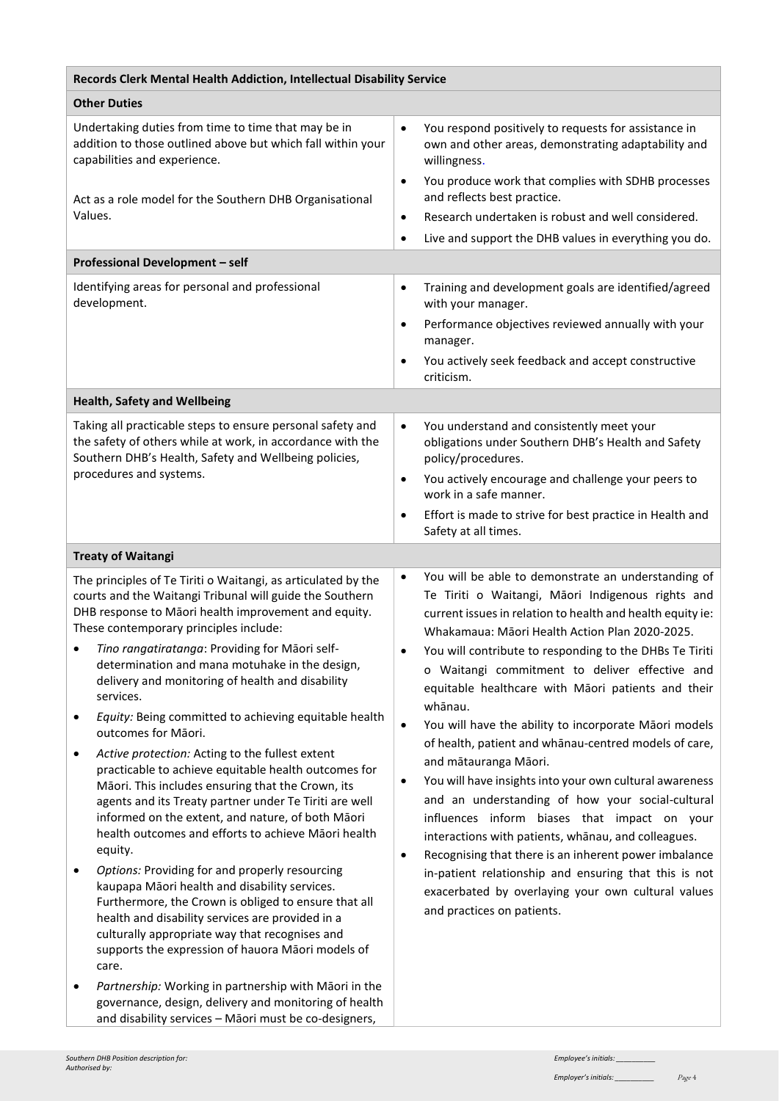| Records Clerk Mental Health Addiction, Intellectual Disability Service                                                                                                                                                                                                                                                                                                                                                                                                                                                                                                                                                                                                                                                                                                                                                                                                                                                                                                                                                                                                                                                                                                                                                                        |                                                                                                                                                                                                                                                                                                                                                                                                                                                                                                                                                                                                                                                                                                                                                                                                                                                                                                                                                                                                                                   |
|-----------------------------------------------------------------------------------------------------------------------------------------------------------------------------------------------------------------------------------------------------------------------------------------------------------------------------------------------------------------------------------------------------------------------------------------------------------------------------------------------------------------------------------------------------------------------------------------------------------------------------------------------------------------------------------------------------------------------------------------------------------------------------------------------------------------------------------------------------------------------------------------------------------------------------------------------------------------------------------------------------------------------------------------------------------------------------------------------------------------------------------------------------------------------------------------------------------------------------------------------|-----------------------------------------------------------------------------------------------------------------------------------------------------------------------------------------------------------------------------------------------------------------------------------------------------------------------------------------------------------------------------------------------------------------------------------------------------------------------------------------------------------------------------------------------------------------------------------------------------------------------------------------------------------------------------------------------------------------------------------------------------------------------------------------------------------------------------------------------------------------------------------------------------------------------------------------------------------------------------------------------------------------------------------|
| <b>Other Duties</b>                                                                                                                                                                                                                                                                                                                                                                                                                                                                                                                                                                                                                                                                                                                                                                                                                                                                                                                                                                                                                                                                                                                                                                                                                           |                                                                                                                                                                                                                                                                                                                                                                                                                                                                                                                                                                                                                                                                                                                                                                                                                                                                                                                                                                                                                                   |
| Undertaking duties from time to time that may be in<br>addition to those outlined above but which fall within your<br>capabilities and experience.                                                                                                                                                                                                                                                                                                                                                                                                                                                                                                                                                                                                                                                                                                                                                                                                                                                                                                                                                                                                                                                                                            | You respond positively to requests for assistance in<br>$\bullet$<br>own and other areas, demonstrating adaptability and<br>willingness.<br>You produce work that complies with SDHB processes<br>$\bullet$                                                                                                                                                                                                                                                                                                                                                                                                                                                                                                                                                                                                                                                                                                                                                                                                                       |
| Act as a role model for the Southern DHB Organisational<br>Values.                                                                                                                                                                                                                                                                                                                                                                                                                                                                                                                                                                                                                                                                                                                                                                                                                                                                                                                                                                                                                                                                                                                                                                            | and reflects best practice.<br>Research undertaken is robust and well considered.<br>$\bullet$<br>Live and support the DHB values in everything you do.<br>$\bullet$                                                                                                                                                                                                                                                                                                                                                                                                                                                                                                                                                                                                                                                                                                                                                                                                                                                              |
| Professional Development - self                                                                                                                                                                                                                                                                                                                                                                                                                                                                                                                                                                                                                                                                                                                                                                                                                                                                                                                                                                                                                                                                                                                                                                                                               |                                                                                                                                                                                                                                                                                                                                                                                                                                                                                                                                                                                                                                                                                                                                                                                                                                                                                                                                                                                                                                   |
| Identifying areas for personal and professional<br>development.                                                                                                                                                                                                                                                                                                                                                                                                                                                                                                                                                                                                                                                                                                                                                                                                                                                                                                                                                                                                                                                                                                                                                                               | Training and development goals are identified/agreed<br>$\bullet$<br>with your manager.<br>Performance objectives reviewed annually with your<br>$\bullet$<br>manager.<br>You actively seek feedback and accept constructive<br>$\bullet$<br>criticism.                                                                                                                                                                                                                                                                                                                                                                                                                                                                                                                                                                                                                                                                                                                                                                           |
| <b>Health, Safety and Wellbeing</b>                                                                                                                                                                                                                                                                                                                                                                                                                                                                                                                                                                                                                                                                                                                                                                                                                                                                                                                                                                                                                                                                                                                                                                                                           |                                                                                                                                                                                                                                                                                                                                                                                                                                                                                                                                                                                                                                                                                                                                                                                                                                                                                                                                                                                                                                   |
| Taking all practicable steps to ensure personal safety and<br>the safety of others while at work, in accordance with the<br>Southern DHB's Health, Safety and Wellbeing policies,<br>procedures and systems.                                                                                                                                                                                                                                                                                                                                                                                                                                                                                                                                                                                                                                                                                                                                                                                                                                                                                                                                                                                                                                  | You understand and consistently meet your<br>$\bullet$<br>obligations under Southern DHB's Health and Safety<br>policy/procedures.<br>You actively encourage and challenge your peers to<br>$\bullet$<br>work in a safe manner.<br>Effort is made to strive for best practice in Health and<br>$\bullet$<br>Safety at all times.                                                                                                                                                                                                                                                                                                                                                                                                                                                                                                                                                                                                                                                                                                  |
| <b>Treaty of Waitangi</b>                                                                                                                                                                                                                                                                                                                                                                                                                                                                                                                                                                                                                                                                                                                                                                                                                                                                                                                                                                                                                                                                                                                                                                                                                     |                                                                                                                                                                                                                                                                                                                                                                                                                                                                                                                                                                                                                                                                                                                                                                                                                                                                                                                                                                                                                                   |
| The principles of Te Tiriti o Waitangi, as articulated by the<br>courts and the Waitangi Tribunal will guide the Southern<br>DHB response to Māori health improvement and equity.<br>These contemporary principles include:<br>Tino rangatiratanga: Providing for Māori self-<br>determination and mana motuhake in the design,<br>delivery and monitoring of health and disability<br>services.<br>Equity: Being committed to achieving equitable health<br>٠<br>outcomes for Māori.<br>Active protection: Acting to the fullest extent<br>٠<br>practicable to achieve equitable health outcomes for<br>Māori. This includes ensuring that the Crown, its<br>agents and its Treaty partner under Te Tiriti are well<br>informed on the extent, and nature, of both Māori<br>health outcomes and efforts to achieve Māori health<br>equity.<br>Options: Providing for and properly resourcing<br>٠<br>kaupapa Māori health and disability services.<br>Furthermore, the Crown is obliged to ensure that all<br>health and disability services are provided in a<br>culturally appropriate way that recognises and<br>supports the expression of hauora Māori models of<br>care.<br>Partnership: Working in partnership with Māori in the<br>٠ | You will be able to demonstrate an understanding of<br>$\bullet$<br>Te Tiriti o Waitangi, Māori Indigenous rights and<br>current issues in relation to health and health equity ie:<br>Whakamaua: Māori Health Action Plan 2020-2025.<br>You will contribute to responding to the DHBs Te Tiriti<br>o Waitangi commitment to deliver effective and<br>equitable healthcare with Māori patients and their<br>whānau.<br>You will have the ability to incorporate Māori models<br>$\bullet$<br>of health, patient and whānau-centred models of care,<br>and mātauranga Māori.<br>You will have insights into your own cultural awareness<br>$\bullet$<br>and an understanding of how your social-cultural<br>influences inform biases that impact on your<br>interactions with patients, whanau, and colleagues.<br>Recognising that there is an inherent power imbalance<br>$\bullet$<br>in-patient relationship and ensuring that this is not<br>exacerbated by overlaying your own cultural values<br>and practices on patients. |
| governance, design, delivery and monitoring of health<br>and disability services - Māori must be co-designers,                                                                                                                                                                                                                                                                                                                                                                                                                                                                                                                                                                                                                                                                                                                                                                                                                                                                                                                                                                                                                                                                                                                                |                                                                                                                                                                                                                                                                                                                                                                                                                                                                                                                                                                                                                                                                                                                                                                                                                                                                                                                                                                                                                                   |